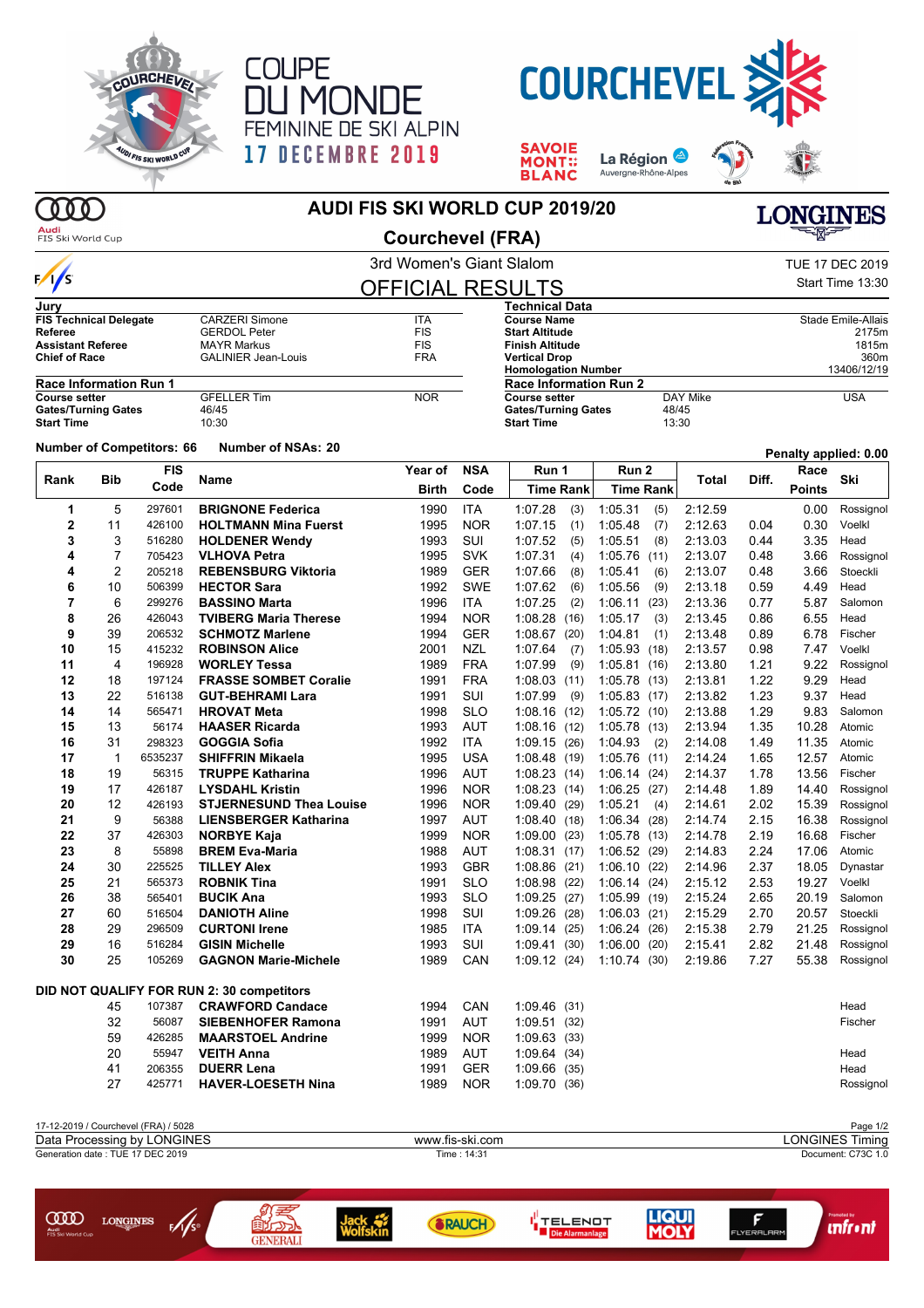





**LIQUI**<br>**MOLY** 

 $F$ 

**unfront** 

I<sup>||</sup> TELENOT<br>|<mark>| Die Alarmanlage</mark>

**SAVOIE<br>MONT::<br>BLANC** La Région



 $000$ Audi

## **AUDI FIS SKI WORLD CUP 2019/20**

0<br>200

GENERALI

Jack<br>Wolfskin

**SRAUCH** 

**COOD** LONGINES FAS

| Auu<br>FIS Ski World Cup                                                    |             |                                      |                                           | <b>Courchevel (FRA)</b>  |                                                                   |                            |                  |         | ∸⊠∽   |               |                           |
|-----------------------------------------------------------------------------|-------------|--------------------------------------|-------------------------------------------|--------------------------|-------------------------------------------------------------------|----------------------------|------------------|---------|-------|---------------|---------------------------|
|                                                                             |             |                                      |                                           | 3rd Women's Giant Slalom |                                                                   |                            |                  |         |       |               | <b>TUE 17 DEC 2019</b>    |
| $\frac{1}{s}$                                                               |             |                                      |                                           | <b>OFFICIAL RESULTS</b>  |                                                                   |                            |                  |         |       |               | Start Time 13:30          |
| Jury                                                                        |             |                                      |                                           |                          |                                                                   | Technical Data             |                  |         |       |               |                           |
| <b>FIS Technical Delegate</b>                                               |             |                                      | <b>CARZERI Simone</b>                     | <b>ITA</b>               |                                                                   | <b>Course Name</b>         |                  |         |       |               | <b>Stade Emile-Allais</b> |
| Referee                                                                     |             |                                      | <b>GERDOL Peter</b>                       | <b>FIS</b>               |                                                                   | <b>Start Altitude</b>      |                  |         | 2175m |               |                           |
| <b>Assistant Referee</b>                                                    |             |                                      | <b>MAYR Markus</b>                        | <b>FIS</b>               |                                                                   | <b>Finish Altitude</b>     |                  |         |       |               | 1815m                     |
| <b>Chief of Race</b>                                                        |             |                                      | <b>GALINIER Jean-Louis</b>                | <b>FRA</b>               |                                                                   | <b>Vertical Drop</b>       |                  |         | 360m  |               |                           |
|                                                                             |             |                                      |                                           |                          |                                                                   | <b>Homologation Number</b> |                  |         |       |               | 13406/12/19               |
| <b>Race Information Run 1</b><br><b>GFELLER Tim</b><br><b>Course setter</b> |             |                                      |                                           | <b>NOR</b>               | <b>Race Information Run 2</b><br>DAY Mike<br><b>Course setter</b> |                            |                  |         |       |               | <b>USA</b>                |
| <b>Gates/Turning Gates</b>                                                  |             |                                      | 46/45                                     |                          |                                                                   | <b>Gates/Turning Gates</b> |                  | 48/45   |       |               |                           |
| <b>Start Time</b>                                                           |             |                                      | 10:30                                     |                          |                                                                   | <b>Start Time</b>          | 13:30            |         |       |               |                           |
|                                                                             |             | <b>Number of Competitors: 66</b>     | <b>Number of NSAs: 20</b>                 |                          |                                                                   |                            |                  |         |       |               | Penalty applied: 0.00     |
|                                                                             |             | <b>FIS</b>                           |                                           | <b>Year of</b>           | <b>NSA</b>                                                        | Run 1                      | Run 2            |         |       | Race          |                           |
| Rank                                                                        | Bib         | Code                                 | Name                                      | Birth                    | Code                                                              | <b>Time Rank</b>           | <b>Time Rank</b> | Total   | Diff. | <b>Points</b> | Ski                       |
|                                                                             |             |                                      |                                           |                          |                                                                   |                            |                  |         |       |               |                           |
| 1                                                                           | 5           | 297601                               | <b>BRIGNONE Federica</b>                  | 1990                     | <b>ITA</b>                                                        | 1:07.28<br>(3)             | 1:05.31<br>(5)   | 2:12.59 |       | 0.00          | Rossignol                 |
| 2                                                                           | 11          | 426100                               | <b>HOLTMANN Mina Fuerst</b>               | 1995                     | <b>NOR</b>                                                        | 1:07.15<br>(1)             | 1:05.48<br>(7)   | 2:12.63 | 0.04  | 0.30          | Voelkl                    |
| 3                                                                           | 3           | 516280                               | <b>HOLDENER Wendy</b>                     | 1993                     | SUI                                                               | 1:07.52<br>(5)             | 1:05.51<br>(8)   | 2:13.03 | 0.44  | 3.35          | Head                      |
| 4                                                                           | 7           | 705423                               | <b>VLHOVA Petra</b>                       | 1995                     | <b>SVK</b>                                                        | 1:07.31<br>(4)             | 1:05.76(11)      | 2:13.07 | 0.48  | 3.66          | Rossignol                 |
| 4                                                                           | 2           | 205218                               | <b>REBENSBURG Viktoria</b>                | 1989                     | <b>GER</b>                                                        | 1:07.66<br>(8)             | 1:05.41<br>(6)   | 2:13.07 | 0.48  | 3.66          | Stoeckli                  |
| 6                                                                           | 10          | 506399                               | <b>HECTOR Sara</b>                        | 1992                     | <b>SWE</b>                                                        | 1:07.62<br>(6)             | 1:05.56<br>(9)   | 2:13.18 | 0.59  | 4.49          | Head                      |
| 7                                                                           | 6           | 299276                               | <b>BASSINO Marta</b>                      | 1996                     | <b>ITA</b>                                                        | 1:07.25<br>(2)             | 1:06.11<br>(23)  | 2:13.36 | 0.77  | 5.87          | Salomon                   |
| 8                                                                           | 26          | 426043                               | <b>TVIBERG Maria Therese</b>              | 1994                     | <b>NOR</b>                                                        | $1:08.28$ (16)             | 1:05.17<br>(3)   | 2:13.45 | 0.86  | 6.55          | Head                      |
| 9                                                                           | 39          | 206532                               | <b>SCHMOTZ Marlene</b>                    | 1994                     | <b>GER</b>                                                        | 1:08.67(20)                | 1:04.81<br>(1)   | 2:13.48 | 0.89  | 6.78          | Fischer                   |
| 10                                                                          | 15          | 415232                               | <b>ROBINSON Alice</b>                     | 2001                     | <b>NZL</b>                                                        | 1:07.64<br>(7)             | 1:05.93(18)      | 2:13.57 | 0.98  | 7.47          | Voelkl                    |
| 11                                                                          | 4           | 196928                               | <b>WORLEY Tessa</b>                       | 1989                     | <b>FRA</b>                                                        | 1:07.99<br>(9)             | 1:05.81<br>(16)  | 2:13.80 | 1.21  | 9.22          | Rossignol                 |
| 12                                                                          |             |                                      |                                           |                          |                                                                   |                            | 1:05.78(13)      |         |       |               |                           |
|                                                                             | 18          | 197124                               | <b>FRASSE SOMBET Coralie</b>              | 1991                     | <b>FRA</b>                                                        | 1:08.03(11)                |                  | 2:13.81 | 1.22  | 9.29          | Head                      |
| 13                                                                          | 22          | 516138                               | <b>GUT-BEHRAMI Lara</b>                   | 1991                     | SUI                                                               | 1:07.99<br>(9)             | 1:05.83(17)      | 2:13.82 | 1.23  | 9.37          | Head                      |
| 14                                                                          | 14          | 565471                               | <b>HROVAT Meta</b>                        | 1998                     | <b>SLO</b>                                                        | 1:08.16(12)                | 1:05.72(10)      | 2:13.88 | 1.29  | 9.83          | Salomon                   |
| 15                                                                          | 13          | 56174                                | <b>HAASER Ricarda</b>                     | 1993                     | AUT                                                               | 1:08.16(12)                | 1:05.78(13)      | 2:13.94 | 1.35  | 10.28         | Atomic                    |
| 16                                                                          | 31          | 298323                               | <b>GOGGIA Sofia</b>                       | 1992                     | <b>ITA</b>                                                        | 1:09.15(26)                | 1:04.93<br>(2)   | 2:14.08 | 1.49  | 11.35         | Atomic                    |
| 17                                                                          | $\mathbf 1$ | 6535237                              | <b>SHIFFRIN Mikaela</b>                   | 1995                     | <b>USA</b>                                                        | 1:08.48(19)                | 1:05.76<br>(11)  | 2:14.24 | 1.65  | 12.57         | Atomic                    |
| 18                                                                          | 19          | 56315                                | <b>TRUPPE Katharina</b>                   | 1996                     | AUT                                                               | 1:08.23(14)                | 1.06.14(24)      | 2:14.37 | 1.78  | 13.56         | Fischer                   |
| 19                                                                          | 17          | 426187                               | <b>LYSDAHL Kristin</b>                    | 1996                     | <b>NOR</b>                                                        | 1:08.23(14)                | 1:06.25(27)      | 2:14.48 | 1.89  | 14.40         | Rossignol                 |
| 20                                                                          | 12          | 426193                               | <b>STJERNESUND Thea Louise</b>            | 1996                     | <b>NOR</b>                                                        | 1:09.40(29)                | 1:05.21<br>(4)   | 2:14.61 | 2.02  | 15.39         | Rossignol                 |
| 21                                                                          | 9           | 56388                                | <b>LIENSBERGER Katharina</b>              | 1997                     | AUT                                                               | 1:08.40(18)                | 1:06.34(28)      | 2:14.74 | 2.15  | 16.38         | Rossignol                 |
| 22                                                                          | 37          | 426303                               | <b>NORBYE Kaja</b>                        | 1999                     | <b>NOR</b>                                                        | 1.09.00(23)                | 1:05.78(13)      | 2:14.78 | 2.19  | 16.68         | Fischer                   |
| 23                                                                          | 8           | 55898                                | <b>BREM Eva-Maria</b>                     | 1988                     | AUT                                                               | 1:08.31(17)                | 1:06.52(29)      | 2:14.83 | 2.24  | 17.06         | Atomic                    |
| 24                                                                          | 30          | 225525                               | <b>TILLEY Alex</b>                        | 1993                     | <b>GBR</b>                                                        | 1.08.86 (21)               | 1:06.10<br>(22)  | 2:14.96 | 2.37  | 18.05         | Dynastar                  |
| 25                                                                          | 21          | 565373                               | <b>ROBNIK Tina</b>                        | 1991                     | SLO                                                               | 1:08.98(22)                | 1.06.14(24)      | 2:15.12 | 2.53  | 19.27         | Voelkl                    |
| 26                                                                          | 38          | 565401                               | <b>BUCIK Ana</b>                          | 1993                     | <b>SLO</b>                                                        |                            |                  | 2:15.24 | 2.65  | 20.19         | Salomon                   |
|                                                                             |             |                                      |                                           |                          |                                                                   | 1:09.25(27)                | 1:05.99(19)      |         |       |               |                           |
| 27                                                                          | 60          | 516504                               | <b>DANIOTH Aline</b>                      | 1998                     | SUI                                                               | 1:09.26(28)                | 1:06.03(21)      | 2:15.29 | 2.70  |               | 20.57 Stoeckli            |
| 28                                                                          | 29          | 296509                               | <b>CURTONI Irene</b>                      | 1985                     | <b>ITA</b>                                                        | 1:09.14 (25) 1:06.24 (26)  |                  | 2:15.38 | 2.79  |               | 21.25 Rossignol           |
| 29                                                                          | 16          | 516284                               | <b>GISIN Michelle</b>                     | 1993                     | SUI                                                               | 1:09.41(30)                | 1:06.00(20)      | 2:15.41 | 2.82  | 21.48         | Rossignol                 |
| 30                                                                          | 25          | 105269                               | <b>GAGNON Marie-Michele</b>               | 1989                     | CAN                                                               | 1:09.12(24)                | 1:10.74(30)      | 2:19.86 | 7.27  | 55.38         | Rossignol                 |
|                                                                             |             |                                      | DID NOT QUALIFY FOR RUN 2: 30 competitors |                          |                                                                   |                            |                  |         |       |               |                           |
|                                                                             | 45          | 107387                               | <b>CRAWFORD Candace</b>                   | 1994                     | CAN                                                               | 1:09.46(31)                |                  |         |       |               | Head                      |
|                                                                             | 32          | 56087                                | <b>SIEBENHOFER Ramona</b>                 | 1991                     | <b>AUT</b>                                                        | 1:09.51(32)                |                  |         |       |               | Fischer                   |
|                                                                             | 59          | 426285                               | <b>MAARSTOEL Andrine</b>                  | 1999                     | <b>NOR</b>                                                        | 1:09.63 (33)               |                  |         |       |               |                           |
|                                                                             | 20          | 55947                                | <b>VEITH Anna</b>                         | 1989                     | AUT                                                               | 1.09.64(34)                |                  |         |       |               | Head                      |
|                                                                             | 41          | 206355                               | <b>DUERR Lena</b>                         | 1991                     | <b>GER</b>                                                        | 1:09.66(35)                |                  |         |       |               | Head                      |
|                                                                             | 27          | 425771                               | <b>HAVER-LOESETH Nina</b>                 | 1989                     | <b>NOR</b>                                                        | 1:09.70 (36)               |                  |         |       |               | Rossignol                 |
|                                                                             |             |                                      |                                           |                          |                                                                   |                            |                  |         |       |               |                           |
|                                                                             |             | 17-12-2019 / Courchevel (FRA) / 5028 |                                           |                          |                                                                   |                            |                  |         |       |               | Page 1/2                  |
|                                                                             |             | Data Processing by LONGINES          |                                           | www.fis-ski.com          |                                                                   |                            |                  |         |       |               | <b>LONGINES Timing</b>    |
| Generation date: TUE 17 DEC 2019                                            |             |                                      |                                           |                          | Time: 14:31                                                       |                            |                  |         |       |               | Document: C73C 1.0        |